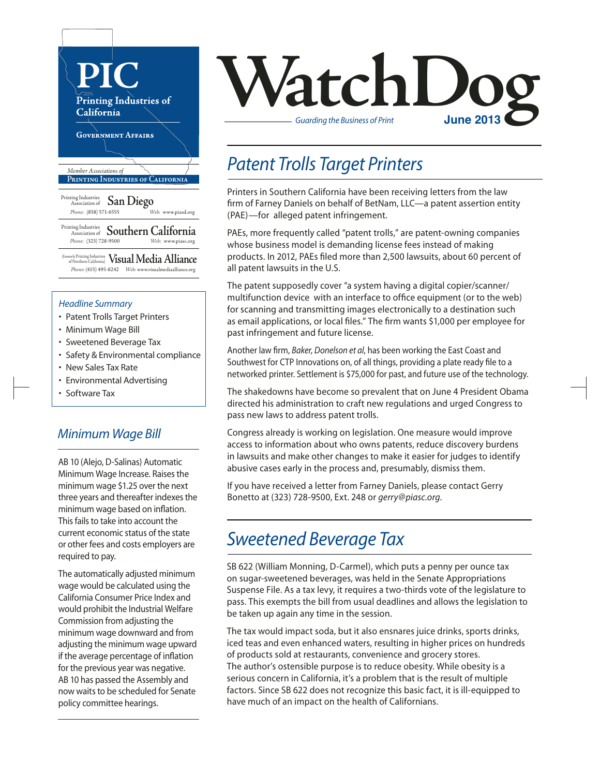

#### *Headline Summary*

- Patent Trolls Target Printers
- Minimum Wage Bill
- Sweetened Beverage Tax
- Safety & Environmental compliance
- New Sales Tax Rate
- Environmental Advertising
- Software Tax

### *Minimum Wage Bill*

AB 10 (Alejo, D-Salinas) Automatic Minimum Wage Increase. Raises the minimum wage \$1.25 over the next three years and thereafter indexes the minimum wage based on inflation. This fails to take into account the current economic status of the state or other fees and costs employers are required to pay.

The automatically adjusted minimum wage would be calculated using the California Consumer Price Index and would prohibit the Industrial Welfare Commission from adjusting the minimum wage downward and from adjusting the minimum wage upward if the average percentage of inflation for the previous year was negative. AB 10 has passed the Assembly and now waits to be scheduled for Senate policy committee hearings.



## *Patent Trolls Target Printers*

Printers in Southern California have been receiving letters from the law firm of Farney Daniels on behalf of BetNam, LLC—a patent assertion entity (PAE)—for alleged patent infringement.

PAEs, more frequently called "patent trolls," are patent-owning companies whose business model is demanding license fees instead of making products. In 2012, PAEs filed more than 2,500 lawsuits, about 60 percent of all patent lawsuits in the U.S.

The patent supposedly cover "a system having a digital copier/scanner/ multifunction device with an interface to office equipment (or to the web) for scanning and transmitting images electronically to a destination such as email applications, or local files." The firm wants \$1,000 per employee for past infringement and future license.

Another law firm, *Baker, Donelson et al*, has been working the East Coast and Southwest for CTP Innovations on, of all things, providing a plate ready file to a networked printer. Settlement is \$75,000 for past, and future use of the technology.

The shakedowns have become so prevalent that on June 4 President Obama directed his administration to craft new regulations and urged Congress to pass new laws to address patent trolls.

Congress already is working on legislation. One measure would improve access to information about who owns patents, reduce discovery burdens in lawsuits and make other changes to make it easier for judges to identify abusive cases early in the process and, presumably, dismiss them.

If you have received a letter from Farney Daniels, please contact Gerry Bonetto at (323) 728-9500, Ext. 248 or *gerry@piasc.org*.

## *Sweetened Beverage Tax*

SB 622 (William Monning, D-Carmel), which puts a penny per ounce tax on sugar-sweetened beverages, was held in the Senate Appropriations Suspense File. As a tax levy, it requires a two-thirds vote of the legislature to pass. This exempts the bill from usual deadlines and allows the legislation to be taken up again any time in the session.

The tax would impact soda, but it also ensnares juice drinks, sports drinks, iced teas and even enhanced waters, resulting in higher prices on hundreds of products sold at restaurants, convenience and grocery stores. The author's ostensible purpose is to reduce obesity. While obesity is a serious concern in California, it's a problem that is the result of multiple factors. Since SB 622 does not recognize this basic fact, it is ill-equipped to have much of an impact on the health of Californians.